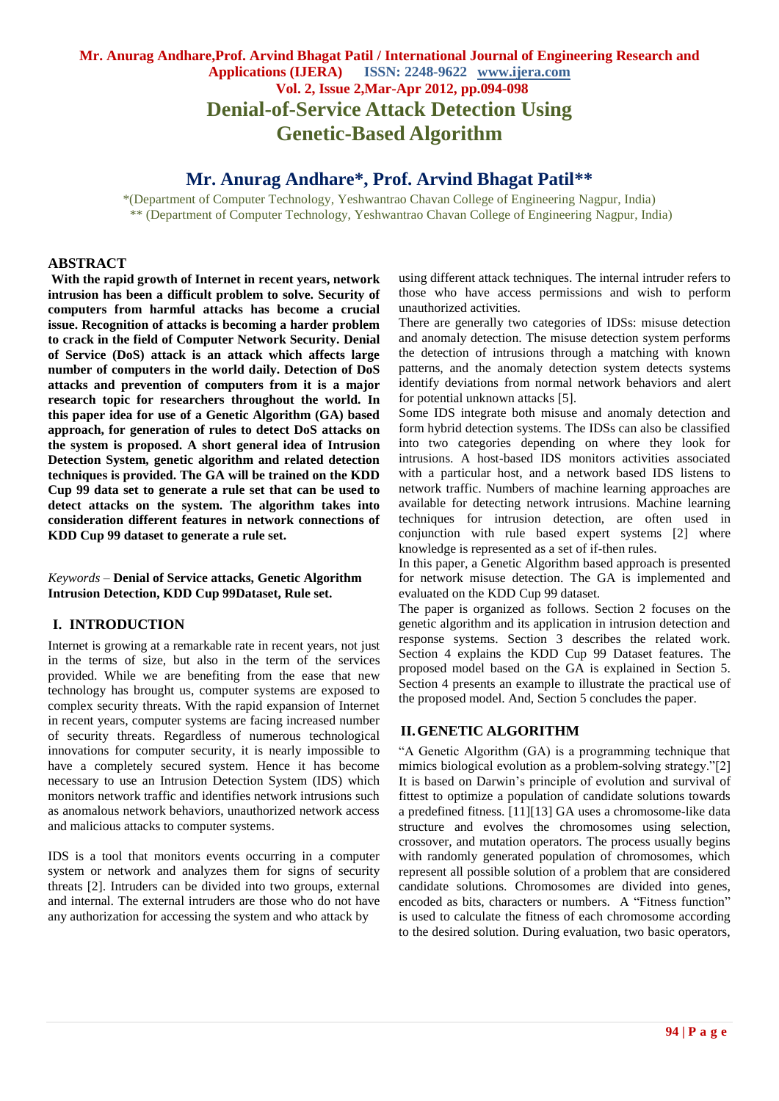# **Mr. Anurag Andhare,Prof. Arvind Bhagat Patil / International Journal of Engineering Research and Applications (IJERA) ISSN: 2248-9622 www.ijera.com Vol. 2, Issue 2,Mar-Apr 2012, pp.094-098 Denial-of-Service Attack Detection Using Genetic-Based Algorithm**

# **Mr. Anurag Andhare\*, Prof. Arvind Bhagat Patil\*\***

\*(Department of Computer Technology, Yeshwantrao Chavan College of Engineering Nagpur, India) \*\* (Department of Computer Technology, Yeshwantrao Chavan College of Engineering Nagpur, India)

#### **ABSTRACT**

**With the rapid growth of Internet in recent years, network intrusion has been a difficult problem to solve. Security of computers from harmful attacks has become a crucial issue. Recognition of attacks is becoming a harder problem to crack in the field of Computer Network Security. Denial of Service (DoS) attack is an attack which affects large number of computers in the world daily. Detection of DoS attacks and prevention of computers from it is a major research topic for researchers throughout the world. In this paper idea for use of a Genetic Algorithm (GA) based approach, for generation of rules to detect DoS attacks on the system is proposed. A short general idea of Intrusion Detection System, genetic algorithm and related detection techniques is provided. The GA will be trained on the KDD Cup 99 data set to generate a rule set that can be used to detect attacks on the system. The algorithm takes into consideration different features in network connections of KDD Cup 99 dataset to generate a rule set.** 

*Keywords* – **Denial of Service attacks, Genetic Algorithm Intrusion Detection, KDD Cup 99Dataset, Rule set.**

### **I. INTRODUCTION**

Internet is growing at a remarkable rate in recent years, not just in the terms of size, but also in the term of the services provided. While we are benefiting from the ease that new technology has brought us, computer systems are exposed to complex security threats. With the rapid expansion of Internet in recent years, computer systems are facing increased number of security threats. Regardless of numerous technological innovations for computer security, it is nearly impossible to have a completely secured system. Hence it has become necessary to use an Intrusion Detection System (IDS) which monitors network traffic and identifies network intrusions such as anomalous network behaviors, unauthorized network access and malicious attacks to computer systems.

IDS is a tool that monitors events occurring in a computer system or network and analyzes them for signs of security threats [2]. Intruders can be divided into two groups, external and internal. The external intruders are those who do not have any authorization for accessing the system and who attack by

using different attack techniques. The internal intruder refers to those who have access permissions and wish to perform unauthorized activities.

There are generally two categories of IDSs: misuse detection and anomaly detection. The misuse detection system performs the detection of intrusions through a matching with known patterns, and the anomaly detection system detects systems identify deviations from normal network behaviors and alert for potential unknown attacks [5].

Some IDS integrate both misuse and anomaly detection and form hybrid detection systems. The IDSs can also be classified into two categories depending on where they look for intrusions. A host-based IDS monitors activities associated with a particular host, and a network based IDS listens to network traffic. Numbers of machine learning approaches are available for detecting network intrusions. Machine learning techniques for intrusion detection, are often used in conjunction with rule based expert systems [2] where knowledge is represented as a set of if-then rules.

In this paper, a Genetic Algorithm based approach is presented for network misuse detection. The GA is implemented and evaluated on the KDD Cup 99 dataset.

The paper is organized as follows. Section 2 focuses on the genetic algorithm and its application in intrusion detection and response systems. Section 3 describes the related work. Section 4 explains the KDD Cup 99 Dataset features. The proposed model based on the GA is explained in Section 5. Section 4 presents an example to illustrate the practical use of the proposed model. And, Section 5 concludes the paper.

## **II.GENETIC ALGORITHM**

"A Genetic Algorithm (GA) is a programming technique that mimics biological evolution as a problem-solving strategy."[2] It is based on Darwin"s principle of evolution and survival of fittest to optimize a population of candidate solutions towards a predefined fitness. [11][13] GA uses a chromosome-like data structure and evolves the chromosomes using selection, crossover, and mutation operators. The process usually begins with randomly generated population of chromosomes, which represent all possible solution of a problem that are considered candidate solutions. Chromosomes are divided into genes, encoded as bits, characters or numbers. A "Fitness function" is used to calculate the fitness of each chromosome according to the desired solution. During evaluation, two basic operators,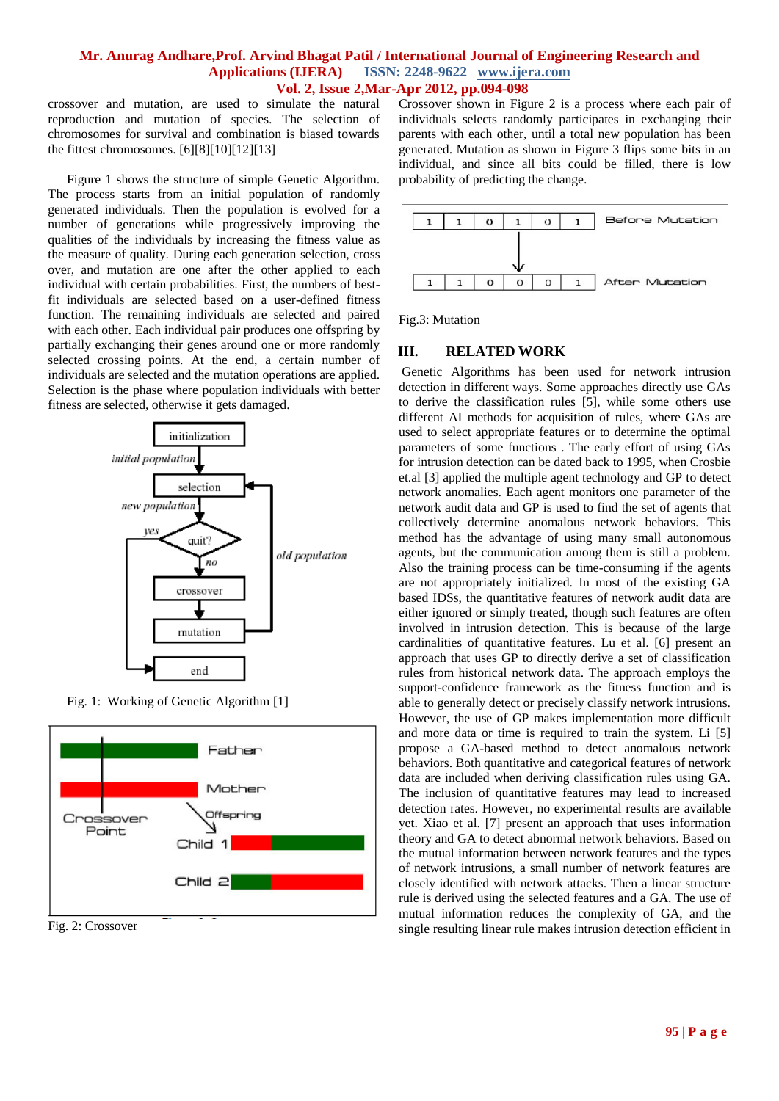crossover and mutation, are used to simulate the natural reproduction and mutation of species. The selection of chromosomes for survival and combination is biased towards the fittest chromosomes. [6][8][10][12][13]

Figure 1 shows the structure of simple Genetic Algorithm. The process starts from an initial population of randomly generated individuals. Then the population is evolved for a number of generations while progressively improving the qualities of the individuals by increasing the fitness value as the measure of quality. During each generation selection, cross over, and mutation are one after the other applied to each individual with certain probabilities. First, the numbers of bestfit individuals are selected based on a user-defined fitness function. The remaining individuals are selected and paired with each other. Each individual pair produces one offspring by partially exchanging their genes around one or more randomly selected crossing points. At the end, a certain number of individuals are selected and the mutation operations are applied. Selection is the phase where population individuals with better fitness are selected, otherwise it gets damaged.



Fig. 1: Working of Genetic Algorithm [1]



Fig. 2: Crossover

Crossover shown in Figure 2 is a process where each pair of individuals selects randomly participates in exchanging their parents with each other, until a total new population has been generated. Mutation as shown in Figure 3 flips some bits in an individual, and since all bits could be filled, there is low probability of predicting the change.



Fig.3: Mutation

## **III. RELATED WORK**

Genetic Algorithms has been used for network intrusion detection in different ways. Some approaches directly use GAs to derive the classification rules [5], while some others use different AI methods for acquisition of rules, where GAs are used to select appropriate features or to determine the optimal parameters of some functions . The early effort of using GAs for intrusion detection can be dated back to 1995, when Crosbie et.al [3] applied the multiple agent technology and GP to detect network anomalies. Each agent monitors one parameter of the network audit data and GP is used to find the set of agents that collectively determine anomalous network behaviors. This method has the advantage of using many small autonomous agents, but the communication among them is still a problem. Also the training process can be time-consuming if the agents are not appropriately initialized. In most of the existing GA based IDSs, the quantitative features of network audit data are either ignored or simply treated, though such features are often involved in intrusion detection. This is because of the large cardinalities of quantitative features. Lu et al. [6] present an approach that uses GP to directly derive a set of classification rules from historical network data. The approach employs the support-confidence framework as the fitness function and is able to generally detect or precisely classify network intrusions. However, the use of GP makes implementation more difficult and more data or time is required to train the system. Li [5] propose a GA-based method to detect anomalous network behaviors. Both quantitative and categorical features of network data are included when deriving classification rules using GA. The inclusion of quantitative features may lead to increased detection rates. However, no experimental results are available yet. Xiao et al. [7] present an approach that uses information theory and GA to detect abnormal network behaviors. Based on the mutual information between network features and the types of network intrusions, a small number of network features are closely identified with network attacks. Then a linear structure rule is derived using the selected features and a GA. The use of mutual information reduces the complexity of GA, and the single resulting linear rule makes intrusion detection efficient in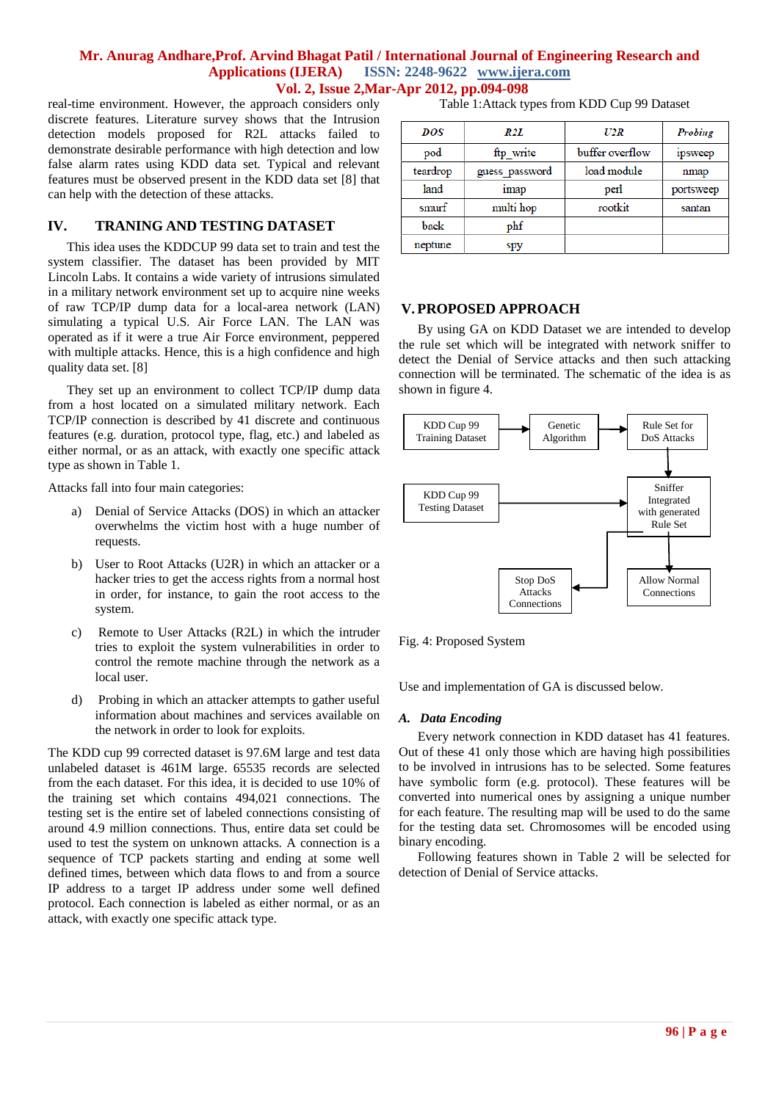real-time environment. However, the approach considers only discrete features. Literature survey shows that the Intrusion detection models proposed for R2L attacks failed to demonstrate desirable performance with high detection and low false alarm rates using KDD data set. Typical and relevant features must be observed present in the KDD data set [8] that can help with the detection of these attacks.

## **IV. TRANING AND TESTING DATASET**

This idea uses the KDDCUP 99 data set to train and test the system classifier. The dataset has been provided by MIT Lincoln Labs. It contains a wide variety of intrusions simulated in a military network environment set up to acquire nine weeks of raw TCP/IP dump data for a local-area network (LAN) simulating a typical U.S. Air Force LAN. The LAN was operated as if it were a true Air Force environment, peppered with multiple attacks. Hence, this is a high confidence and high quality data set. [8]

They set up an environment to collect TCP/IP dump data from a host located on a simulated military network. Each TCP/IP connection is described by 41 discrete and continuous features (e.g. duration, protocol type, flag, etc.) and labeled as either normal, or as an attack, with exactly one specific attack type as shown in Table 1.

Attacks fall into four main categories:

- a) Denial of Service Attacks (DOS) in which an attacker overwhelms the victim host with a huge number of requests.
- b) User to Root Attacks (U2R) in which an attacker or a hacker tries to get the access rights from a normal host in order, for instance, to gain the root access to the system.
- c) Remote to User Attacks (R2L) in which the intruder tries to exploit the system vulnerabilities in order to control the remote machine through the network as a local user.
- d) Probing in which an attacker attempts to gather useful information about machines and services available on the network in order to look for exploits.

The KDD cup 99 corrected dataset is 97.6M large and test data unlabeled dataset is 461M large. 65535 records are selected from the each dataset. For this idea, it is decided to use 10% of the training set which contains 494,021 connections. The testing set is the entire set of labeled connections consisting of around 4.9 million connections. Thus, entire data set could be used to test the system on unknown attacks. A connection is a sequence of TCP packets starting and ending at some well defined times, between which data flows to and from a source IP address to a target IP address under some well defined protocol. Each connection is labeled as either normal, or as an attack, with exactly one specific attack type.

| Table 1: Attack types from KDD Cup 99 Dataset |  |  |  |  |  |
|-----------------------------------------------|--|--|--|--|--|
|-----------------------------------------------|--|--|--|--|--|

| DOS      | R2L            | U2R             | Probing   |
|----------|----------------|-----------------|-----------|
| pod      | ftp_write      | buffer overflow | ipsweep   |
| teardrop | guess password | load module     | nmap      |
| land     | <b>imap</b>    | perl            | portsweep |
| smurf    | multi hop      | rootkit         | santan    |
| back     | phf            |                 |           |
| neptune  | spy            |                 |           |

#### **V.PROPOSED APPROACH**

By using GA on KDD Dataset we are intended to develop the rule set which will be integrated with network sniffer to detect the Denial of Service attacks and then such attacking connection will be terminated. The schematic of the idea is as shown in figure 4.



Fig. 4: Proposed System

Use and implementation of GA is discussed below.

#### *A. Data Encoding*

Every network connection in KDD dataset has 41 features. Out of these 41 only those which are having high possibilities to be involved in intrusions has to be selected. Some features have symbolic form (e.g. protocol). These features will be converted into numerical ones by assigning a unique number for each feature. The resulting map will be used to do the same for the testing data set. Chromosomes will be encoded using binary encoding.

Following features shown in Table 2 will be selected for detection of Denial of Service attacks.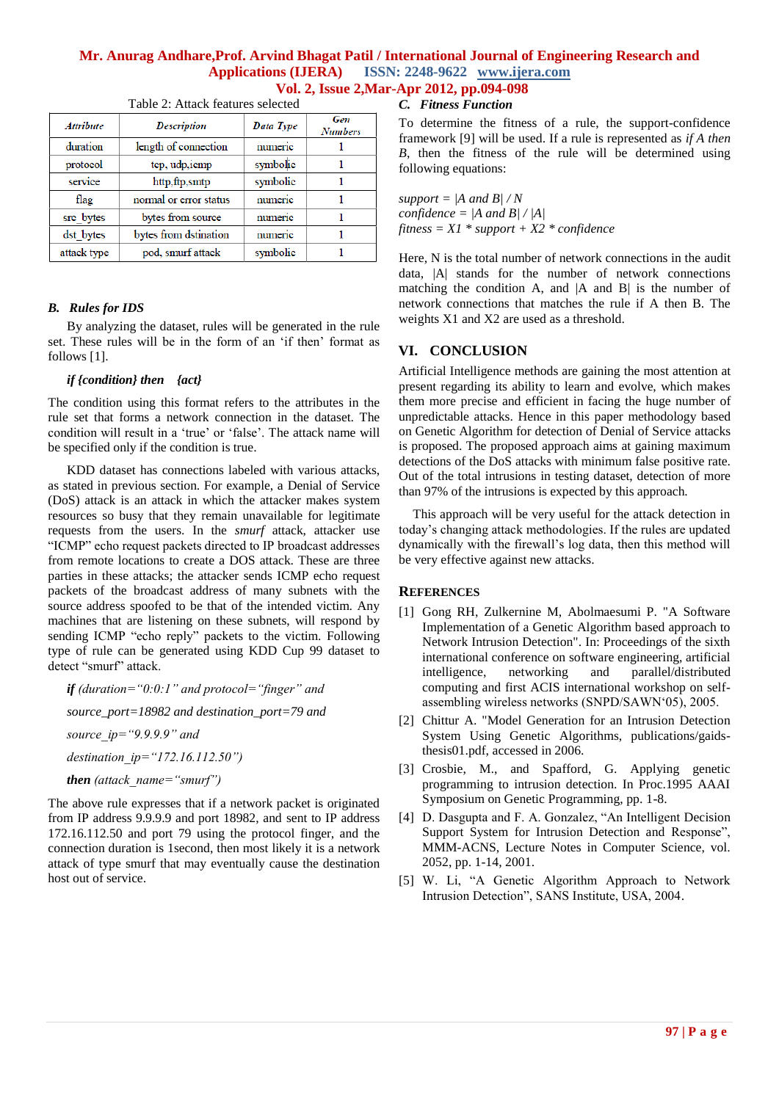| <b>Attribute</b> | <b>Description</b>     | Data Type | Gen<br><b>Numbers</b> |
|------------------|------------------------|-----------|-----------------------|
| duration         | length of connection   | numeric   |                       |
| protocol         | tep, udp, iemp         | symbolic  |                       |
| service          | http,ftp,smtp          | symbolic  |                       |
| flag             | normal or error status | numeric   |                       |
| src bytes        | bytes from source      | numeric   |                       |
| dst bytes        | bytes from dstination  | numeric   |                       |
| attack type      | pod, smurf attack      | symbolic  |                       |

Table 2: Attack features selected

### *B. Rules for IDS*

By analyzing the dataset, rules will be generated in the rule set. These rules will be in the form of an 'if then' format as follows [1].

### *if {condition} then {act}*

The condition using this format refers to the attributes in the rule set that forms a network connection in the dataset. The condition will result in a 'true' or 'false'. The attack name will be specified only if the condition is true.

KDD dataset has connections labeled with various attacks, as stated in previous section. For example, a Denial of Service (DoS) attack is an attack in which the attacker makes system resources so busy that they remain unavailable for legitimate requests from the users. In the *smurf* attack, attacker use "ICMP" echo request packets directed to IP broadcast addresses from remote locations to create a DOS attack. These are three parties in these attacks; the attacker sends ICMP echo request packets of the broadcast address of many subnets with the source address spoofed to be that of the intended victim. Any machines that are listening on these subnets, will respond by sending ICMP "echo reply" packets to the victim. Following type of rule can be generated using KDD Cup 99 dataset to detect "smurf" attack.

*if (duration="0:0:1" and protocol="finger" and source\_port=18982 and destination\_port=79 and source\_ip="9.9.9.9" and destination\_ip="172.16.112.50") then (attack\_name="smurf")*

The above rule expresses that if a network packet is originated from IP address 9.9.9.9 and port 18982, and sent to IP address 172.16.112.50 and port 79 using the protocol finger, and the connection duration is 1second, then most likely it is a network attack of type smurf that may eventually cause the destination host out of service.

*C. Fitness Function*

To determine the fitness of a rule, the support-confidence framework [9] will be used. If a rule is represented as *if A then B*, then the fitness of the rule will be determined using following equations:

*support =*  $\vert A \vert$  *and B* $\vert / N$ *confidence = |A and B| / |A| fitness = X1 \* support + X2 \* confidence*

Here, N is the total number of network connections in the audit data, |A| stands for the number of network connections matching the condition A, and  $|A|$  and  $|B|$  is the number of network connections that matches the rule if A then B. The weights X1 and X2 are used as a threshold.

## **VI. CONCLUSION**

Artificial Intelligence methods are gaining the most attention at present regarding its ability to learn and evolve, which makes them more precise and efficient in facing the huge number of unpredictable attacks. Hence in this paper methodology based on Genetic Algorithm for detection of Denial of Service attacks is proposed. The proposed approach aims at gaining maximum detections of the DoS attacks with minimum false positive rate. Out of the total intrusions in testing dataset, detection of more than 97% of the intrusions is expected by this approach.

This approach will be very useful for the attack detection in today"s changing attack methodologies. If the rules are updated dynamically with the firewall"s log data, then this method will be very effective against new attacks.

## **REFERENCES**

- [1] Gong RH, Zulkernine M, Abolmaesumi P. "A Software Implementation of a Genetic Algorithm based approach to Network Intrusion Detection". In: Proceedings of the sixth international conference on software engineering, artificial intelligence, networking and parallel/distributed computing and first ACIS international workshop on selfassembling wireless networks (SNPD/SAWN"05), 2005.
- [2] Chittur A. "Model Generation for an Intrusion Detection System Using Genetic Algorithms, publications/gaidsthesis01.pdf, accessed in 2006.
- [3] Crosbie, M., and Spafford, G. Applying genetic programming to intrusion detection. In Proc.1995 AAAI Symposium on Genetic Programming, pp. 1-8.
- [4] D. Dasgupta and F. A. Gonzalez, "An Intelligent Decision Support System for Intrusion Detection and Response", MMM-ACNS, Lecture Notes in Computer Science, vol. 2052, pp. 1-14, 2001.
- [5] W. Li, "A Genetic Algorithm Approach to Network Intrusion Detection", SANS Institute, USA, 2004.